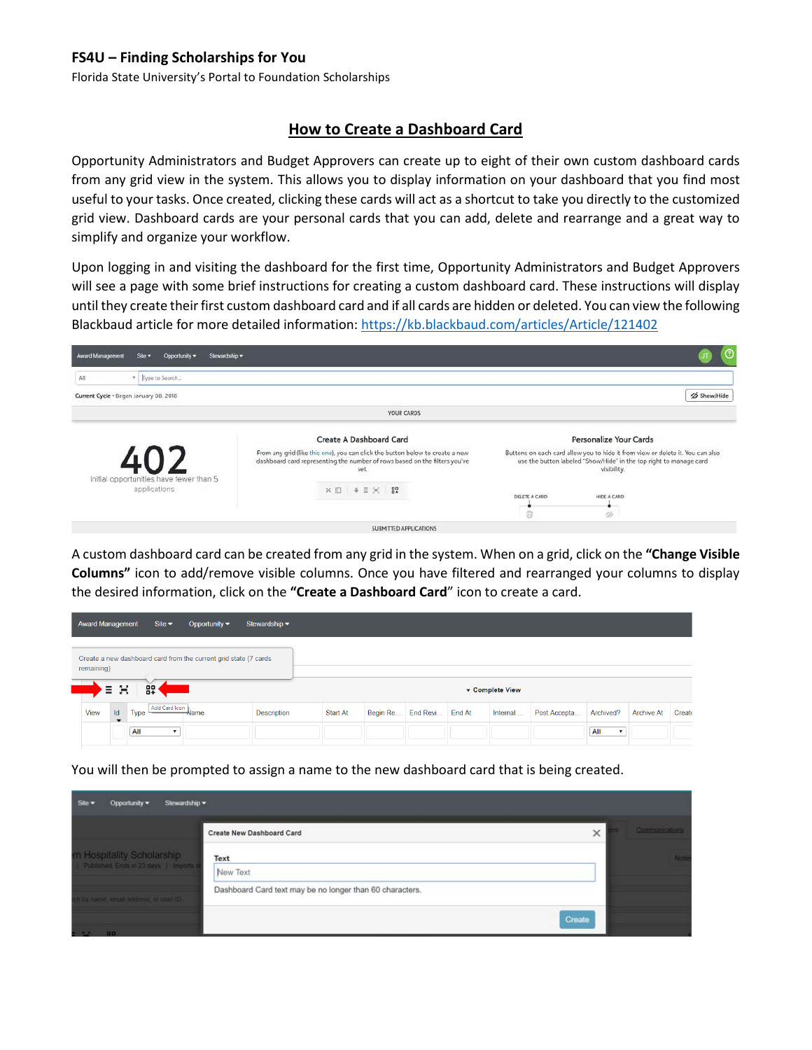## **FS4U – Finding Scholarships for You**

Florida State University's Portal to Foundation Scholarships

## **How to Create a Dashboard Card**

Opportunity Administrators and Budget Approvers can create up to eight of their own custom dashboard cards from any grid view in the system. This allows you to display information on your dashboard that you find most useful to your tasks. Once created, clicking these cards will act as a shortcut to take you directly to the customized grid view. Dashboard cards are your personal cards that you can add, delete and rearrange and a great way to simplify and organize your workflow.

Upon logging in and visiting the dashboard for the first time, Opportunity Administrators and Budget Approvers will see a page with some brief instructions for creating a custom dashboard card. These instructions will display until they create their first custom dashboard card and if all cards are hidden or deleted. You can view the following Blackbaud article for more detailed information:<https://kb.blackbaud.com/articles/Article/121402>

| Stewardship =<br>Award Management<br>Site v<br>Opportunity = |                                                                                                                                                                     | O                                                                                                                                                                   |  |  |  |
|--------------------------------------------------------------|---------------------------------------------------------------------------------------------------------------------------------------------------------------------|---------------------------------------------------------------------------------------------------------------------------------------------------------------------|--|--|--|
| v Type to Search<br>All                                      |                                                                                                                                                                     |                                                                                                                                                                     |  |  |  |
| Current Cycle . Began January 08, 2018                       |                                                                                                                                                                     | Show/Hide                                                                                                                                                           |  |  |  |
|                                                              | YOUR CARDS                                                                                                                                                          |                                                                                                                                                                     |  |  |  |
|                                                              | Create A Dashboard Card                                                                                                                                             | Personalize Your Cards                                                                                                                                              |  |  |  |
| Initial opportunities have fewer than 5<br>applications      | From any grid (like this one), you can click the button below to create a new<br>dashboard card representing the number of rows based on the filters you've<br>set. | Buttons on each card allow you to hide it from view or delete it. You can also<br>use the button labeled "Show/Hide" in the top right to manage card<br>visibility. |  |  |  |
|                                                              | × 10   ↓ 三 ※   82                                                                                                                                                   | DELETE A CARD<br>HIDE A CARD<br>ŵ<br>$\mathscr{B}$                                                                                                                  |  |  |  |
|                                                              | SUBMITTED APPLICATIONS                                                                                                                                              |                                                                                                                                                                     |  |  |  |

A custom dashboard card can be created from any grid in the system. When on a grid, click on the **"Change Visible Columns"** icon to add/remove visible columns. Once you have filtered and rearranged your columns to display the desired information, click on the **"Create a Dashboard Card**" icon to create a card.

| <b>Award Management</b>                                                                        |                                | Site $\blacktriangleright$       | Opportunity $\blacktriangledown$ | Stewardship $\blacktriangleright$ |                 |          |          |                 |          |              |                                  |                   |        |
|------------------------------------------------------------------------------------------------|--------------------------------|----------------------------------|----------------------------------|-----------------------------------|-----------------|----------|----------|-----------------|----------|--------------|----------------------------------|-------------------|--------|
| Create a new dashboard card from the current grid state (7 cards<br>remaining)<br>멻.<br>X<br>Ξ |                                |                                  |                                  |                                   |                 |          |          | ▼ Complete View |          |              |                                  |                   |        |
| View                                                                                           | Id<br>$\overline{\phantom{0}}$ | Add Card Icon<br>Type            | Name                             | Description                       | <b>Start At</b> | Begin Re | End Revi | End At          | Internal | Post Accepta | Archived?                        | <b>Archive At</b> | Create |
|                                                                                                |                                | All<br>$\boldsymbol{\mathrm{v}}$ |                                  |                                   |                 |          |          |                 |          |              | All<br>$\boldsymbol{\mathrm{v}}$ |                   |        |

You will then be prompted to assign a name to the new dashboard card that is being created.

| Site $\blacktriangledown$ | Opportunity *                                                           | Stewardship = |                                                          |        |                |
|---------------------------|-------------------------------------------------------------------------|---------------|----------------------------------------------------------|--------|----------------|
|                           |                                                                         |               | Create New Dashboard Card                                | ×      | Communications |
|                           | im Hospitality Scholarship<br>  Published, Ends in 23 days   Imports st |               | Text<br>New Text                                         |        | Nati           |
|                           | ch by name, email address, or user ID.,                                 |               | Dashboard Card text may be no longer than 60 characters. |        |                |
|                           | $-00$                                                                   |               |                                                          | Create |                |